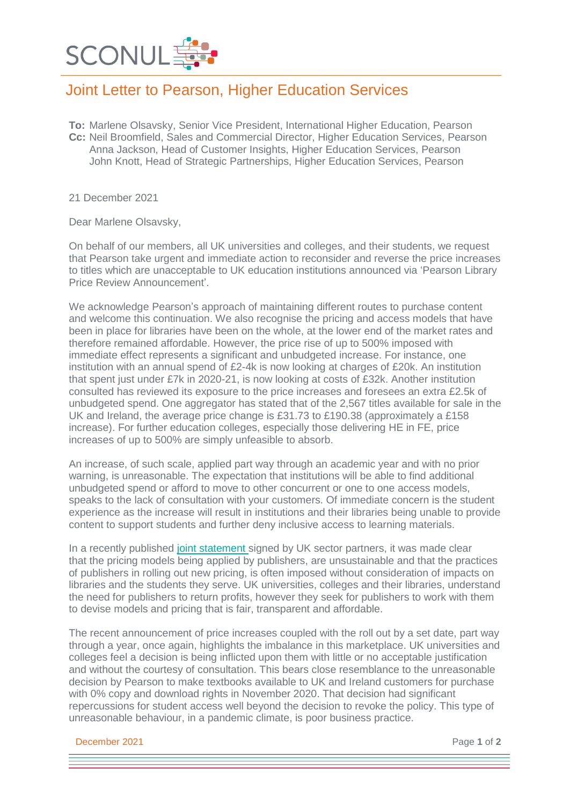

## Joint Letter to Pearson, Higher Education Services

**To:** Marlene Olsavsky, Senior Vice President, International Higher Education, Pearson **Cc:** Neil Broomfield, Sales and Commercial Director, Higher Education Services, Pearson Anna Jackson, Head of Customer Insights, Higher Education Services, Pearson John Knott, Head of Strategic Partnerships, Higher Education Services, Pearson

21 December 2021

Dear Marlene Olsavsky,

On behalf of our members, all UK universities and colleges, and their students, we request that Pearson take urgent and immediate action to reconsider and reverse the price increases to titles which are unacceptable to UK education institutions announced via 'Pearson Library Price Review Announcement'.

We acknowledge Pearson's approach of maintaining different routes to purchase content and welcome this continuation. We also recognise the pricing and access models that have been in place for libraries have been on the whole, at the lower end of the market rates and therefore remained affordable. However, the price rise of up to 500% imposed with immediate effect represents a significant and unbudgeted increase. For instance, one institution with an annual spend of £2-4k is now looking at charges of £20k. An institution that spent just under £7k in 2020-21, is now looking at costs of £32k. Another institution consulted has reviewed its exposure to the price increases and foresees an extra £2.5k of unbudgeted spend. One aggregator has stated that of the 2,567 titles available for sale in the UK and Ireland, the average price change is £31.73 to £190.38 (approximately a £158 increase). For further education colleges, especially those delivering HE in FE, price increases of up to 500% are simply unfeasible to absorb.

An increase, of such scale, applied part way through an academic year and with no prior warning, is unreasonable. The expectation that institutions will be able to find additional unbudgeted spend or afford to move to other concurrent or one to one access models, speaks to the lack of consultation with your customers. Of immediate concern is the student experience as the increase will result in institutions and their libraries being unable to provide content to support students and further deny inclusive access to learning materials.

In a recently published joint [statement](https://www.jisc.ac.uk/news/joint-statement-on-access-to-e-book-and-e-textbook-content-06-oct-2021) signed by UK sector partners, it was made clear that the pricing models being applied by publishers, are unsustainable and that the practices of publishers in rolling out new pricing, is often imposed without consideration of impacts on libraries and the students they serve. UK universities, colleges and their libraries, understand the need for publishers to return profits, however they seek for publishers to work with them to devise models and pricing that is fair, transparent and affordable.

The recent announcement of price increases coupled with the roll out by a set date, part way through a year, once again, highlights the imbalance in this marketplace. UK universities and colleges feel a decision is being inflicted upon them with little or no acceptable justification and without the courtesy of consultation. This bears close resemblance to the unreasonable decision by Pearson to make textbooks available to UK and Ireland customers for purchase with 0% copy and download rights in November 2020. That decision had significant repercussions for student access well beyond the decision to revoke the policy. This type of unreasonable behaviour, in a pandemic climate, is poor business practice.

**December 2021** Page 1 of 2